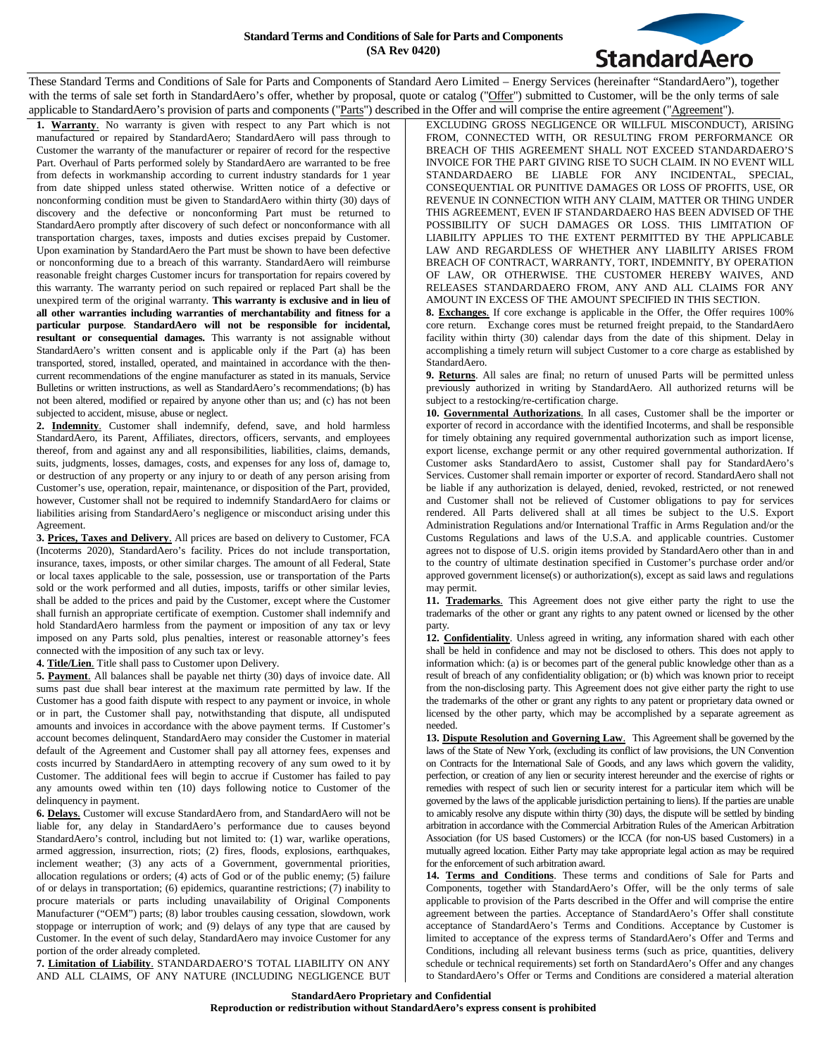

These Standard Terms and Conditions of Sale for Parts and Components of Standard Aero Limited – Energy Services (hereinafter "StandardAero"), together with the terms of sale set forth in StandardAero's offer, whether by proposal, quote or catalog ("Offer") submitted to Customer, will be the only terms of sale applicable to StandardAero's provision of parts and components ("Parts") described in the Offer and will comprise the entire agreement ("Agreement").

**1. Warranty**. No warranty is given with respect to any Part which is not manufactured or repaired by StandardAero; StandardAero will pass through to Customer the warranty of the manufacturer or repairer of record for the respective Part. Overhaul of Parts performed solely by StandardAero are warranted to be free from defects in workmanship according to current industry standards for 1 year from date shipped unless stated otherwise. Written notice of a defective or nonconforming condition must be given to StandardAero within thirty (30) days of discovery and the defective or nonconforming Part must be returned to StandardAero promptly after discovery of such defect or nonconformance with all transportation charges, taxes, imposts and duties excises prepaid by Customer. Upon examination by StandardAero the Part must be shown to have been defective or nonconforming due to a breach of this warranty. StandardAero will reimburse reasonable freight charges Customer incurs for transportation for repairs covered by this warranty. The warranty period on such repaired or replaced Part shall be the unexpired term of the original warranty. **This warranty is exclusive and in lieu of all other warranties including warranties of merchantability and fitness for a particular purpose**. **StandardAero will not be responsible for incidental, resultant or consequential damages.** This warranty is not assignable without StandardAero's written consent and is applicable only if the Part (a) has been transported, stored, installed, operated, and maintained in accordance with the thencurrent recommendations of the engine manufacturer as stated in its manuals, Service Bulletins or written instructions, as well as StandardAero's recommendations; (b) has not been altered, modified or repaired by anyone other than us; and (c) has not been subjected to accident, misuse, abuse or neglect.

**2. Indemnity**. Customer shall indemnify, defend, save, and hold harmless StandardAero, its Parent, Affiliates, directors, officers, servants, and employees thereof, from and against any and all responsibilities, liabilities, claims, demands, suits, judgments, losses, damages, costs, and expenses for any loss of, damage to, or destruction of any property or any injury to or death of any person arising from Customer's use, operation, repair, maintenance, or disposition of the Part, provided, however, Customer shall not be required to indemnify StandardAero for claims or liabilities arising from StandardAero's negligence or misconduct arising under this Agreement.

**3. Prices, Taxes and Delivery**. All prices are based on delivery to Customer, FCA (Incoterms 2020), StandardAero's facility. Prices do not include transportation, insurance, taxes, imposts, or other similar charges. The amount of all Federal, State or local taxes applicable to the sale, possession, use or transportation of the Parts sold or the work performed and all duties, imposts, tariffs or other similar levies, shall be added to the prices and paid by the Customer, except where the Customer shall furnish an appropriate certificate of exemption. Customer shall indemnify and hold StandardAero harmless from the payment or imposition of any tax or levy imposed on any Parts sold, plus penalties, interest or reasonable attorney's fees connected with the imposition of any such tax or levy.

**4. Title/Lien**. Title shall pass to Customer upon Delivery.

**5. Payment**. All balances shall be payable net thirty (30) days of invoice date. All sums past due shall bear interest at the maximum rate permitted by law. If the Customer has a good faith dispute with respect to any payment or invoice, in whole or in part, the Customer shall pay, notwithstanding that dispute, all undisputed amounts and invoices in accordance with the above payment terms. If Customer's account becomes delinquent, StandardAero may consider the Customer in material default of the Agreement and Customer shall pay all attorney fees, expenses and costs incurred by StandardAero in attempting recovery of any sum owed to it by Customer. The additional fees will begin to accrue if Customer has failed to pay any amounts owed within ten (10) days following notice to Customer of the delinquency in payment.

**6. Delays**. Customer will excuse StandardAero from, and StandardAero will not be liable for, any delay in StandardAero's performance due to causes beyond StandardAero's control, including but not limited to: (1) war, warlike operations, armed aggression, insurrection, riots; (2) fires, floods, explosions, earthquakes, inclement weather; (3) any acts of a Government, governmental priorities, allocation regulations or orders; (4) acts of God or of the public enemy; (5) failure of or delays in transportation; (6) epidemics, quarantine restrictions; (7) inability to procure materials or parts including unavailability of Original Components Manufacturer ("OEM") parts; (8) labor troubles causing cessation, slowdown, work stoppage or interruption of work; and (9) delays of any type that are caused by Customer. In the event of such delay, StandardAero may invoice Customer for any portion of the order already completed.

**7. Limitation of Liability**. STANDARDAERO'S TOTAL LIABILITY ON ANY AND ALL CLAIMS, OF ANY NATURE (INCLUDING NEGLIGENCE BUT EXCLUDING GROSS NEGLIGENCE OR WILLFUL MISCONDUCT), ARISING FROM, CONNECTED WITH, OR RESULTING FROM PERFORMANCE OR BREACH OF THIS AGREEMENT SHALL NOT EXCEED STANDARDAERO'S INVOICE FOR THE PART GIVING RISE TO SUCH CLAIM. IN NO EVENT WILL STANDARDAERO BE LIABLE FOR ANY INCIDENTAL, SPECIAL, CONSEQUENTIAL OR PUNITIVE DAMAGES OR LOSS OF PROFITS, USE, OR REVENUE IN CONNECTION WITH ANY CLAIM, MATTER OR THING UNDER THIS AGREEMENT, EVEN IF STANDARDAERO HAS BEEN ADVISED OF THE POSSIBILITY OF SUCH DAMAGES OR LOSS. THIS LIMITATION OF LIABILITY APPLIES TO THE EXTENT PERMITTED BY THE APPLICABLE LAW AND REGARDLESS OF WHETHER ANY LIABILITY ARISES FROM BREACH OF CONTRACT, WARRANTY, TORT, INDEMNITY, BY OPERATION OF LAW, OR OTHERWISE. THE CUSTOMER HEREBY WAIVES, AND RELEASES STANDARDAERO FROM, ANY AND ALL CLAIMS FOR ANY AMOUNT IN EXCESS OF THE AMOUNT SPECIFIED IN THIS SECTION.

**8. Exchanges**. If core exchange is applicable in the Offer, the Offer requires 100% core return. Exchange cores must be returned freight prepaid, to the StandardAero facility within thirty (30) calendar days from the date of this shipment. Delay in accomplishing a timely return will subject Customer to a core charge as established by StandardAero.

**9. Returns**. All sales are final; no return of unused Parts will be permitted unless previously authorized in writing by StandardAero. All authorized returns will be subject to a restocking/re-certification charge.

**10. Governmental Authorizations**. In all cases, Customer shall be the importer or exporter of record in accordance with the identified Incoterms, and shall be responsible for timely obtaining any required governmental authorization such as import license, export license, exchange permit or any other required governmental authorization. If Customer asks StandardAero to assist, Customer shall pay for StandardAero's Services. Customer shall remain importer or exporter of record. StandardAero shall not be liable if any authorization is delayed, denied, revoked, restricted, or not renewed and Customer shall not be relieved of Customer obligations to pay for services rendered. All Parts delivered shall at all times be subject to the U.S. Export Administration Regulations and/or International Traffic in Arms Regulation and/or the Customs Regulations and laws of the U.S.A. and applicable countries. Customer agrees not to dispose of U.S. origin items provided by StandardAero other than in and to the country of ultimate destination specified in Customer's purchase order and/or approved government license(s) or authorization(s), except as said laws and regulations may permit.

**11. Trademarks**. This Agreement does not give either party the right to use the trademarks of the other or grant any rights to any patent owned or licensed by the other party.

**12. Confidentiality**. Unless agreed in writing, any information shared with each other shall be held in confidence and may not be disclosed to others. This does not apply to information which: (a) is or becomes part of the general public knowledge other than as a result of breach of any confidentiality obligation; or (b) which was known prior to receipt from the non-disclosing party. This Agreement does not give either party the right to use the trademarks of the other or grant any rights to any patent or proprietary data owned or licensed by the other party, which may be accomplished by a separate agreement as needed.

**13. Dispute Resolution and Governing Law**. This Agreement shall be governed by the laws of the State of New York, (excluding its conflict of law provisions, the UN Convention on Contracts for the International Sale of Goods, and any laws which govern the validity, perfection, or creation of any lien or security interest hereunder and the exercise of rights or remedies with respect of such lien or security interest for a particular item which will be governed by the laws of the applicable jurisdiction pertaining to liens). If the parties are unable to amicably resolve any dispute within thirty (30) days, the dispute will be settled by binding arbitration in accordance with the Commercial Arbitration Rules of the American Arbitration Association (for US based Customers) or the ICCA (for non-US based Customers) in a mutually agreed location. Either Party may take appropriate legal action as may be required for the enforcement of such arbitration award.

**14. Terms and Conditions**. These terms and conditions of Sale for Parts and Components, together with StandardAero's Offer, will be the only terms of sale applicable to provision of the Parts described in the Offer and will comprise the entire agreement between the parties. Acceptance of StandardAero's Offer shall constitute acceptance of StandardAero's Terms and Conditions. Acceptance by Customer is limited to acceptance of the express terms of StandardAero's Offer and Terms and Conditions, including all relevant business terms (such as price, quantities, delivery schedule or technical requirements) set forth on StandardAero's Offer and any changes to StandardAero's Offer or Terms and Conditions are considered a material alteration